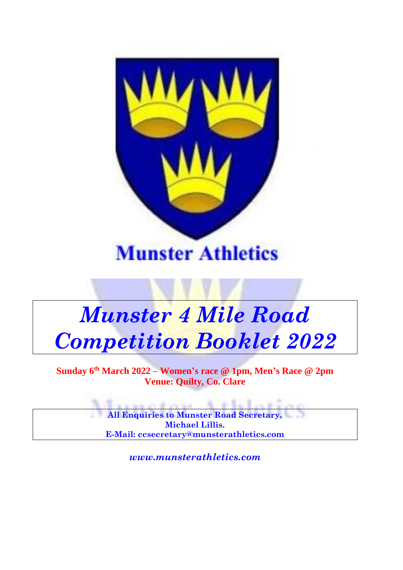

### *Munster 4 Mile Road Competition Booklet 2022*

**Sunday 6 th March 2022 – Women's race @ 1pm, Men's Race @ 2pm Venue: Quilty, Co. Clare**

> **All Enquiries to Munster Road Secretary, Michael Lillis. E-Mail: ccsecretary@munsterathletics.com**

a. U.

*www.munsterathletics.com*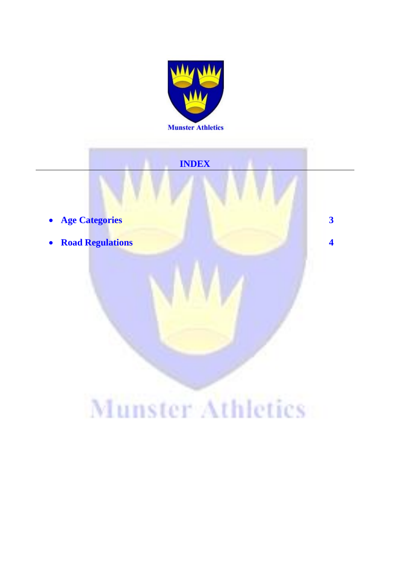



- **Age Categories 3**
- **Road Regulations 4**

## Munster Athletics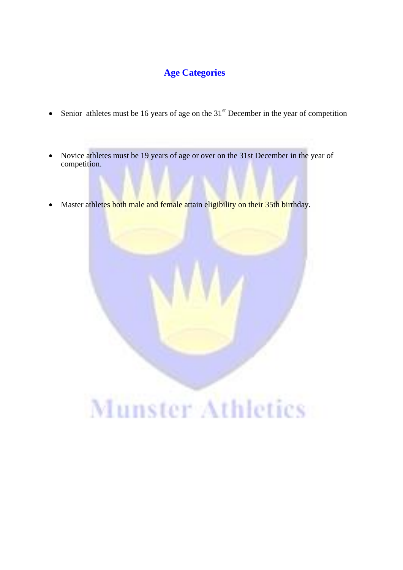#### **Age Categories**

- Senior athletes must be 16 years of age on the  $31<sup>st</sup>$  December in the year of competition
- Novice athletes must be 19 years of age or over on the 31st December in the year of competition.
- Master athletes both male and female attain eligibility on their 35th birthday.

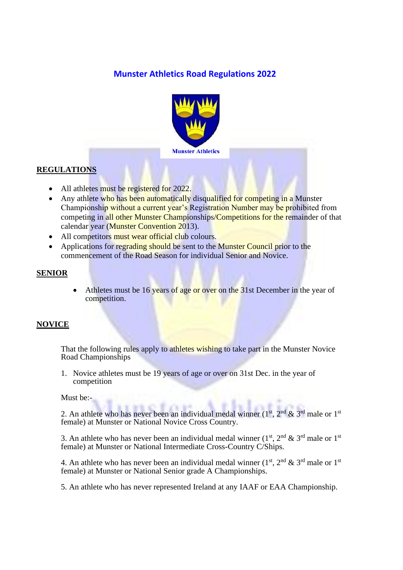#### **Munster Athletics Road Regulations 2022**



#### **REGULATIONS**

- All athletes must be registered for 2022.
- Any athlete who has been automatically disqualified for competing in a Munster Championship without a current year's Registration Number may be prohibited from competing in all other Munster Championships/Competitions for the remainder of that calendar year (Munster Convention 2013).
- All competitors must wear official club colours.
- Applications for regrading should be sent to the Munster Council prior to the commencement of the Road Season for individual Senior and Novice.

#### **SENIOR**

Athletes must be 16 years of age or over on the 31st December in the year of competition.

#### **NOVICE**

That the following rules apply to athletes wishing to take part in the Munster Novice Road Championships

1. Novice athletes must be 19 years of age or over on 31st Dec. in the year of competition

Must be:-

2. An athlete who has never been an individual medal winner  $(1<sup>st</sup>, 2<sup>nd</sup> \& 3<sup>rd</sup>$  male or  $1<sup>st</sup>$ female) at Munster or National Novice Cross Country.

3. An athlete who has never been an individual medal winner  $(1<sup>st</sup>, 2<sup>nd</sup> \& 3<sup>rd</sup>$  male or  $1<sup>st</sup>$ female) at Munster or National Intermediate Cross-Country C/Ships.

4. An athlete who has never been an individual medal winner ( $1<sup>st</sup>$ ,  $2<sup>nd</sup>$  &  $3<sup>rd</sup>$  male or  $1<sup>st</sup>$ female) at Munster or National Senior grade A Championships.

5. An athlete who has never represented Ireland at any IAAF or EAA Championship.